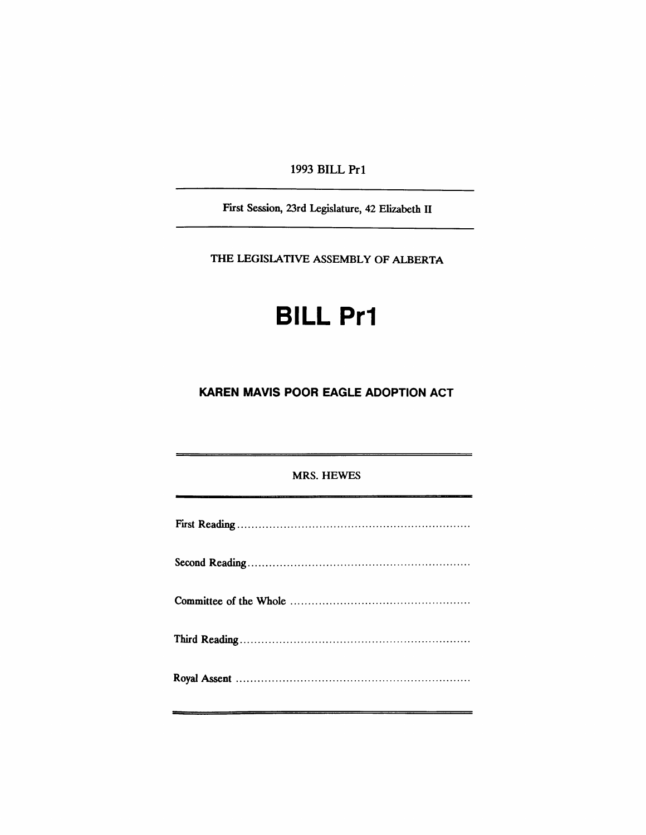1993 BILL Pr1

First Session, 23rd Legislature, 42 Elizabeth II

THE LEGISlATIVE ASSEMBLY OF ALBERTA

# **BILL Pr1**

## **KAREN MAVIS POOR EAGLE ADOPTION ACT**

#### MRS. HEWES